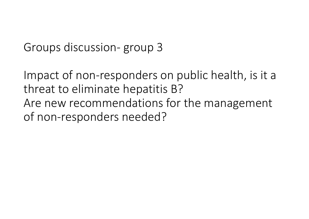Groups discussion‐ group 3

Impact of non‐responders on public health, is it <sup>a</sup> threat to eliminate hepatitis B? Are new recommendations for the management of non‐responders needed?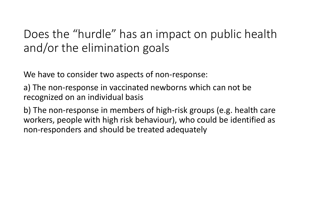## Does the "hurdle" has an impact on public health and/or the elimination goals

We have to consider two aspects of non‐response:

a) The non‐response in vaccinated newborns which can not be recognized on an individual basis

b) The non‐response in members of high‐risk groups (e.g. health care workers, people with high risk behaviour), who could be identified as non‐responders and should be treated adequately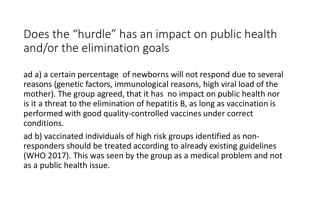## Does the "hurdle" has an impact on public health and/or the elimination goals

ad a) <sup>a</sup> certain percentage of newborns will not respond due to several reasons (genetic factors, immunological reasons, high viral load of the mother). The group agreed, that it has no impact on public health nor is it a threat to the elimination of hepatitis B, as long as vaccination is performed with good quality‐controlled vaccines under correct conditions.

ad b) vaccinated individuals of high risk groups identified as non‐ responders should be treated according to already existing guidelines (WHO 2017). This was seen by the group as <sup>a</sup> medical problem and not as a public health issue.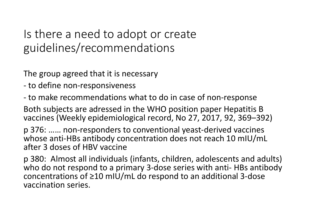## Is there <sup>a</sup> need to adopt or create guidelines/recommendations

The group agreed that it is necessary

- ‐ to define non‐responsiveness
- ‐ to make recommendations what to do in case of non‐response

Both subjects are adressed in the WHO position paper Hepatitis B vaccines (Weekly epidemiological record, No 27, 2017, 92, 369–392)

p 376: …… non‐responders to conventional yeast‐derived vaccines whose anti‐HBs antibody concentration does not reach 10 mIU/mL after 3 doses of HBV vaccine

p 380: Almost all individuals (infants, children, adolescents and adults) who do not respond to <sup>a</sup> primary 3‐dose series with anti‐ HBs antibody concentrations of ≥10 mIU/mL do respond to an additional 3‐dose vaccination series.